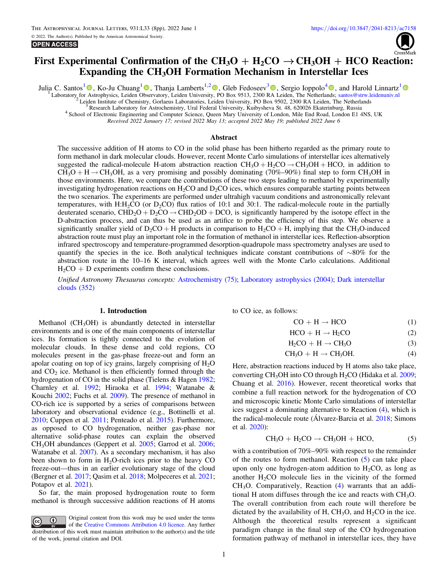

# <span id="page-0-0"></span>First Experimental Confirmation of the  $CH_3O + H_2CO \rightarrow CH_3OH + HCO$  Reaction: Expanding the CH3OH Formation Mechanism in Interstellar Ices

Julia C. Santos<sup>[1](https://orcid.org/0000-0002-8322-3538)</sup> , Ko-Ju Chuang<sup>1</sup> , Thanja Lamberts<sup>1,[2](https://orcid.org/0000-0001-6705-2022)</sup> [,](https://orcid.org/0000-0002-2271-1781) Gleb Fedoseev<sup>[3](https://orcid.org/0000-0003-2434-2219)</sup> , Sergio Ioppolo<sup>[4](https://orcid.org/0000-0002-2271-1781)</sup> , and Harold Linnartz<sup>1</sup> Laboratory for Astrophysics, Leiden Observatory, Leiden University, PO Box 9513, 2300 RA Leiden, The Netherlands; [santos@strw.leidenuniv.nl](mailto:santos@strw.leidenuniv.nl)<br>
<sup>2</sup> Leiden Institute of Chemistry, Gorlaeus Laboratories, Leiden University, PO B

Received 2022 January 17; revised 2022 May 13; accepted 2022 May 19; published 2022 June 6

## Abstract

The successive addition of H atoms to CO in the solid phase has been hitherto regarded as the primary route to form methanol in dark molecular clouds. However, recent Monte Carlo simulations of interstellar ices alternatively suggested the radical-molecule H-atom abstraction reaction  $CH_3O + H_2CO \rightarrow CH_3OH + HCO$ , in addition to  $CH_3O + H \rightarrow CH_3OH$ , as a very promising and possibly dominating (70%–90%) final step to form CH<sub>3</sub>OH in those environments. Here, we compare the contributions of these two steps leading to methanol by experimentally investigating hydrogenation reactions on  $H_2CO$  and  $D_2CO$  ices, which ensures comparable starting points between the two scenarios. The experiments are performed under ultrahigh vacuum conditions and astronomically relevant temperatures, with  $H: H_2CO$  (or  $D_2CO$ ) flux ratios of 10:1 and 30:1. The radical-molecule route in the partially deuterated scenario,  $CHD_2O + D_2CO \rightarrow CHD_2OD + DCO$ , is significantly hampered by the isotope effect in the D-abstraction process, and can thus be used as an artifice to probe the efficiency of this step. We observe a significantly smaller yield of  $D_2CO + H$  products in comparison to  $H_2CO + H$ , implying that the CH<sub>3</sub>O-induced abstraction route must play an important role in the formation of methanol in interstellar ices. Reflection-absorption infrared spectroscopy and temperature-programmed desorption-quadrupole mass spectrometry analyses are used to quantify the species in the ice. Both analytical techniques indicate constant contributions of ∼80% for the abstraction route in the 10–16 K interval, which agrees well with the Monte Carlo calculations. Additional  $H_2CO + D$  experiments confirm these conclusions.

Unified Astronomy Thesaurus concepts: [Astrochemistry](http://astrothesaurus.org/uat/75) (75); [Laboratory astrophysics](http://astrothesaurus.org/uat/2004) (2004); [Dark interstellar](http://astrothesaurus.org/uat/352) [clouds](http://astrothesaurus.org/uat/352) (352)

#### 1. Introduction

Methanol (CH<sub>3</sub>OH) is abundantly detected in interstellar environments and is one of the main components of interstellar ices. Its formation is tightly connected to the evolution of molecular clouds. In these dense and cold regions, CO molecules present in the gas-phase freeze-out and form an apolar coating on top of icy grains, largely comprising of  $H_2O$ and  $CO<sub>2</sub>$  ice. Methanol is then efficiently formed through the hydrogenation of CO in the solid phase (Tielens & Hagen [1982](#page-7-0); Charnley et al. [1992;](#page-7-0) Hiraoka et al. [1994](#page-7-0); Watanabe & Kouchi [2002](#page-7-0); Fuchs et al. [2009](#page-7-0)). The presence of methanol in CO-rich ice is supported by a series of comparisons between laboratory and observational evidence (e.g., Bottinelli et al. [2010;](#page-7-0) Cuppen et al. [2011;](#page-7-0) Penteado et al. [2015](#page-7-0)). Furthermore, as opposed to CO hydrogenation, neither gas-phase nor alternative solid-phase routes can explain the observed CH3OH abundances (Geppert et al. [2005](#page-7-0); Garrod et al. [2006](#page-7-0); Watanabe et al. [2007](#page-7-0)). As a secondary mechanism, it has also been shown to form in  $H_2O$ -rich ices prior to the heavy CO freeze-out—thus in an earlier evolutionary stage of the cloud (Bergner et al. [2017;](#page-7-0) Qasim et al. [2018](#page-7-0); Molpeceres et al. [2021](#page-7-0); Potapov et al. [2021](#page-7-0)).

So far, the main proposed hydrogenation route to form methanol is through successive addition reactions of H atoms

to CO ice, as follows:

$$
CO + H \rightarrow HCO \tag{1}
$$

$$
HCO + H \rightarrow H_2CO \tag{2}
$$

$$
H_2CO + H \to CH_3O \tag{3}
$$

$$
CH_3O + H \rightarrow CH_3OH.
$$
 (4)

Here, abstraction reactions induced by H atoms also take place, converting  $CH<sub>3</sub>OH$  into CO through  $H<sub>2</sub>CO$  (Hidaka et al. [2009](#page-7-0); Chuang et al. [2016](#page-7-0)). However, recent theoretical works that combine a full reaction network for the hydrogenation of CO and microscopic kinetic Monte Carlo simulations of interstellar ices suggest a dominating alternative to Reaction (4), which is the radical-molecule route (Álvarez-Barcia et al. [2018;](#page-7-0) Simons et al. [2020](#page-7-0)):

$$
CH_3O + H_2CO \rightarrow CH_3OH + HCO, \tag{5}
$$

with a contribution of 70%–90% with respect to the remainder of the routes to form methanol. Reaction (5) can take place upon only one hydrogen-atom addition to  $H_2CO$ , as long as another  $H<sub>2</sub>CO$  molecule lies in the vicinity of the formed CH3O. Comparatively, Reaction (4) warrants that an additional H atom diffuses through the ice and reacts with  $CH<sub>3</sub>O$ . The overall contribution from each route will therefore be dictated by the availability of H,  $CH<sub>3</sub>O$ , and  $H<sub>2</sub>CO$  in the ice. Although the theoretical results represent a significant paradigm change in the final step of the CO hydrogenation formation pathway of methanol in interstellar ices, they have

Original content from this work may be used under the terms  $\odot$  $\left(\mathrm{cc}\right)$ of the [Creative Commons Attribution 4.0 licence.](http://creativecommons.org/licenses/by/4.0/) Any further distribution of this work must maintain attribution to the author(s) and the title of the work, journal citation and DOI.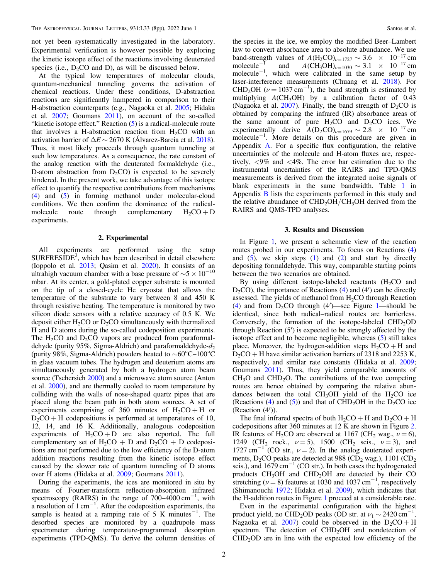not yet been systematically investigated in the laboratory. Experimental verification is however possible by exploring the kinetic isotope effect of the reactions involving deuterated species (i.e.,  $D_2CO$  and D), as will be discussed below.

At the typical low temperatures of molecular clouds, quantum-mechanical tunneling governs the activation of chemical reactions. Under these conditions, D-abstraction reactions are significantly hampered in comparison to their H-abstraction counterparts (e.g., Nagaoka et al. [2005](#page-7-0); Hidaka et al. [2007;](#page-7-0) Goumans [2011](#page-7-0)), on account of the so-called "kinetic isotope effect." Reaction ([5](#page-0-0)) is a radical-molecule route that involves a H-abstraction reaction from  $H_2CO$  with an activation barrier of  $\Delta E \sim 2670$  K (Álvarez-Barcia et al. [2018](#page-7-0)). Thus, it most likely proceeds through quantum tunneling at such low temperatures. As a consequence, the rate constant of the analog reaction with the deuterated formaldehyde (i.e., D-atom abstraction from  $D_2CO$ ) is expected to be severely hindered. In the present work, we take advantage of this isotope effect to quantify the respective contributions from mechanisms ([4](#page-0-0)) and ([5](#page-0-0)) in forming methanol under molecular-cloud conditions. We then confirm the dominance of the radicalmolecule route through complementary  $H_2CO + D$ experiments.

# 2. Experimental

All experiments are performed using the setup SURFRESIDE<sup>3</sup>, which has been described in detail elsewhere (Ioppolo et al. [2013;](#page-7-0) Qasim et al. [2020](#page-7-0)). It consists of an ultrahigh vacuum chamber with a base pressure of  $\sim$ 5 × 10<sup>-10</sup> mbar. At its center, a gold-plated copper substrate is mounted on the tip of a closed-cycle He cryostat that allows the temperature of the substrate to vary between 8 and 450 K through resistive heating. The temperature is monitored by two silicon diode sensors with a relative accuracy of 0.5 K. We deposit either  $H_2CO$  or  $D_2CO$  simultaneously with thermalized H and D atoms during the so-called codeposition experiments. The  $H_2CO$  and  $D_2CO$  vapors are produced from paraformaldehyde (purity 95%, Sigma-Aldrich) and paraformaldehyde- $d_2$ (purity 98%, Sigma-Aldrich) powders heated to ∼60°C–100°C in glass vacuum tubes. The hydrogen and deuterium atoms are simultaneously generated by both a hydrogen atom beam source (Tschersich [2000](#page-7-0)) and a microwave atom source (Anton et al. [2000](#page-7-0)), and are thermally cooled to room temperature by colliding with the walls of nose-shaped quartz pipes that are placed along the beam path in both atom sources. A set of experiments comprising of 360 minutes of  $H_2CO + H$  or  $D_2CO + H$  codepositions is performed at temperatures of 10, 12, 14, and 16 K. Additionally, analogous codeposition experiments of  $H_2CO + D$  are also reported. The full complementary set of  $H_2CO + D$  and  $D_2CO + D$  codepositions are not performed due to the low efficiency of the D-atom addition reactions resulting from the kinetic isotope effect caused by the slower rate of quantum tunneling of D atoms over H atoms (Hidaka et al. [2009](#page-7-0); Goumans [2011](#page-7-0)).

During the experiments, the ices are monitored in situ by means of Fourier-transform reflection-absorption infrared spectroscopy (RAIRS) in the range of  $700-4000 \text{ cm}^{-1}$ , with a resolution of  $1 \text{ cm}^{-1}$ . After the codeposition experiments, the sample is heated at a ramping rate of 5 K minutes<sup>-1</sup>. The desorbed species are monitored by a quadrupole mass spectrometer during temperature-programmed desorption experiments (TPD-QMS). To derive the column densities of the species in the ice, we employ the modified Beer–Lambert law to convert absorbance area to absolute abundance. We use band-strength values of  $A(H_2CO)_{\nu=1727} \sim 3.6 \times 10^{-17}$  cm molecule<sup>-1</sup> and  $A (CH_3OH)_{\nu=1030} \sim 3.1 \times 10^{-17}$  cm molecule<sup>-1</sup>, which were calibrated in the same setup by laser-interference measurements (Chuang et al. [2018](#page-7-0)). For CHD<sub>2</sub>OH ( $\nu$  = 1037 cm<sup>-1</sup>), the band strength is estimated by multiplying  $ACH_3OH$ ) by a calibration factor of 0.43 (Nagaoka et al. [2007](#page-7-0)). Finally, the band strength of  $D_2CO$  is obtained by comparing the infrared (IR) absorbance areas of the same amount of pure  $H_2CO$  and  $D_2CO$  ices. We experimentally derive  $A(D_2CO)_{\nu=1679} \sim 2.8 \times 10^{-17}$  cm molecule<sup>-1</sup>. More details on this procedure are given in Appendix [A](#page-5-0). For a specific flux configuration, the relative uncertainties of the molecule and H-atom fluxes are, respectively, <9% and <4%. The error bar estimation due to the instrumental uncertainties of the RAIRS and TPD-QMS measurements is derived from the integrated noise signals of blank experiments in the same bandwidth. Table [1](#page-6-0) in Appendix [B](#page-6-0) lists the experiments performed in this study and the relative abundance of  $CHD_2OH/CH_3OH$  derived from the RAIRS and QMS-TPD analyses.

## 3. Results and Discussion

In Figure [1,](#page-2-0) we present a schematic view of the reaction routes probed in our experiments. To focus on Reactions ([4](#page-0-0)) and  $(5)$  $(5)$  $(5)$ , we skip steps  $(1)$  $(1)$  $(1)$  and  $(2)$  $(2)$  $(2)$  and start by directly depositing formaldehyde. This way, comparable starting points between the two scenarios are obtained.

By using different isotope-labeled reactants  $(H_2CO)$  and  $D_2CO$ , the importance of Reactions ([4](#page-0-0)) and (4') can be directly assessed. The yields of methanol from  $H_2CO$  through Reaction ([4](#page-0-0)) and from  $D_2CO$  through (4')—see Figure [1](#page-2-0)—should be identical, since both radical–radical routes are barrierless. Conversely, the formation of the isotope-labeled  $CHD<sub>2</sub>OD$ through Reaction (5′) is expected to be strongly affected by the isotope effect and to become negligible, whereas ([5](#page-0-0)) still takes place. Moreover, the hydrogen-addition steps  $H_2CO + H$  and  $D_2CO + H$  have similar activation barriers of 2318 and 2253 K, respectively, and similar rate constants (Hidaka et al. [2009](#page-7-0); Goumans [2011](#page-7-0)). Thus, they yield comparable amounts of  $CH<sub>3</sub>O$  and  $CHD<sub>2</sub>O$ . The contributions of the two competing routes are hence obtained by comparing the relative abundances between the total CH<sub>3</sub>OH yield of the H<sub>2</sub>CO ice (Reactions ([4](#page-0-0)) and ([5](#page-0-0))) and that of  $CHD<sub>2</sub>OH$  in the  $D<sub>2</sub>CO$  ice (Reaction (4′)).

The final infrared spectra of both  $H_2CO + H$  and  $D_2CO + H$ codepositions after 360 minutes at 12 K are shown in Figure [2](#page-2-0). IR features of H<sub>2</sub>CO are observed at 1167 (CH<sub>2</sub> wag.,  $\nu = 6$ ), 1249 (CH<sub>2</sub> rock.,  $\nu = 5$ ), 1500 (CH<sub>2</sub> scis.,  $\nu = 3$ ), and 1727 cm<sup>-1</sup> (CO str.,  $\nu$  = 2). In the analog deuterated experiments,  $D_2CO$  peaks are detected at 988 ( $CD_2$  wag.), 1101 ( $CD_2$ ) scis.), and  $1679 \text{ cm}^{-1}$  (CO str.). In both cases the hydrogenated products  $CH<sub>3</sub>OH$  and  $CHD<sub>2</sub>OH$  are detected by their CO stretching ( $\nu = 8$ ) features at 1030 and 1037 cm<sup>-1</sup>, respectively (Shimanouchi [1972;](#page-7-0) Hidaka et al. [2009](#page-7-0)), which indicates that the H-addition routes in Figure [1](#page-2-0) proceed at a considerable rate.

Even in the experimental configuration with the highest product yield, no CHD<sub>2</sub>OD peaks (OD str. at  $\nu_1 \sim 2420 \text{ cm}^{-1}$ , Nagaoka et al. [2007](#page-7-0)) could be observed in the  $D_2CO + H$ spectrum. The detection of  $CHD<sub>2</sub>OH$  and nondetection of  $CHD<sub>2</sub>OD$  are in line with the expected low efficiency of the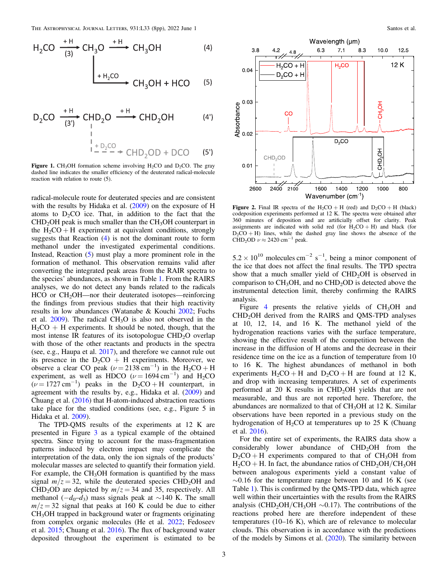<span id="page-2-0"></span>
$$
H_2CO \xrightarrow{\text{H}} CH_3O \xrightarrow{\text{H}} CH_3OH
$$
 (4)  
\n
$$
H_{\frac{1}{2}CO} \xrightarrow{\text{H}} CH_3OH + HCO
$$
 (5)

$$
D_2CO \xrightarrow{\text{+H}} CHD_2O \xrightarrow{\text{+H}} CHD_2OH \qquad (4')
$$
\n
$$
\downarrow{\qquad \qquad \downarrow}_{\text{+D}_2CO} \qquad (5')
$$

**Figure 1.** CH<sub>3</sub>OH formation scheme involving H<sub>2</sub>CO and D<sub>2</sub>CO. The gray dashed line indicates the smaller efficiency of the deuterated radical-molecule reaction with relation to route (5).

radical-molecule route for deuterated species and are consistent with the results by Hidaka et al. ([2009](#page-7-0)) on the exposure of H atoms to  $D_2CO$  ice. That, in addition to the fact that the  $CHD<sub>2</sub>OH$  peak is much smaller than the  $CH<sub>3</sub>OH$  counterpart in the  $H_2CO + H$  experiment at equivalent conditions, strongly suggests that Reaction ([4](#page-0-0)) is not the dominant route to form methanol under the investigated experimental conditions. Instead, Reaction ([5](#page-0-0)) must play a more prominent role in the formation of methanol. This observation remains valid after converting the integrated peak areas from the RAIR spectra to the species' abundances, as shown in Table [1.](#page-6-0) From the RAIRS analyses, we do not detect any bands related to the radicals HCO or CH<sub>2</sub>OH—nor their deuterated isotopes—reinforcing the findings from previous studies that their high reactivity results in low abundances (Watanabe & Kouchi [2002;](#page-7-0) Fuchs et al.  $2009$ ). The radical CH<sub>3</sub>O is also not observed in the  $H_2CO + H$  experiments. It should be noted, though, that the most intense IR features of its isotopologue  $CHD<sub>2</sub>O$  overlap with those of the other reactants and products in the spectra (see, e.g., Haupa et al. [2017](#page-7-0)), and therefore we cannot rule out its presence in the  $D_2CO + H$  experiments. Moreover, we observe a clear CO peak ( $\nu = 2138 \text{ cm}^{-1}$ ) in the H<sub>2</sub>CO + H experiment, as well as HDCO ( $\nu = 1694 \text{ cm}^{-1}$ ) and H<sub>2</sub>CO  $(\nu = 1727 \text{ cm}^{-1})$  peaks in the  $D_2CO + H$  counterpart, in agreement with the results by, e.g., Hidaka et al. ([2009](#page-7-0)) and Chuang et al. ([2016](#page-7-0)) that H-atom-induced abstraction reactions take place for the studied conditions (see, e.g., Figure 5 in Hidaka et al. [2009](#page-7-0)).

The TPD-QMS results of the experiments at 12 K are presented in Figure [3](#page-3-0) as a typical example of the obtained spectra. Since trying to account for the mass-fragmentation patterns induced by electron impact may complicate the interpretation of the data, only the ion signals of the products' molecular masses are selected to quantify their formation yield. For example, the  $CH<sub>3</sub>OH$  formation is quantified by the mass signal  $m/z = 32$ , while the deuterated species CHD<sub>2</sub>OH and CHD<sub>2</sub>OD are depicted by  $m/z = 34$  and 35, respectively. All methanol ( $-d_0-d_3$ ) mass signals peak at ~140 K. The small  $m/z = 32$  signal that peaks at 160 K could be due to either CH3OH trapped in background water or fragments originating from complex organic molecules (He et al. [2022](#page-7-0); Fedoseev et al. [2015](#page-7-0); Chuang et al. [2016](#page-7-0)). The flux of background water deposited throughout the experiment is estimated to be



**Figure 2.** Final IR spectra of the  $H_2CO + H$  (red) and  $D_2CO + H$  (black) codeposition experiments performed at 12 K. The spectra were obtained after 360 minutes of deposition and are artificially offset for clarity. Peak assignments are indicated with solid red (for  $H_2CO + H$ ) and black (for  $D_2CO + H$ ) lines, while the dashed gray line shows the absence of the CHD<sub>2</sub>OD  $\nu \approx 2420 \text{ cm}^{-1}$  peak.

 $5.2 \times 10^{10}$  molecules cm<sup>-2</sup> s<sup>-1</sup>, being a minor component of the ice that does not affect the final results. The TPD spectra show that a much smaller yield of  $CHD<sub>2</sub>OH$  is observed in comparison to  $CH<sub>3</sub>OH$ , and no  $CHD<sub>2</sub>OD$  is detected above the instrumental detection limit, thereby confirming the RAIRS analysis.

Figure [4](#page-3-0) presents the relative yields of  $CH<sub>3</sub>OH$  and CHD2OH derived from the RAIRS and QMS-TPD analyses at 10, 12, 14, and 16 K. The methanol yield of the hydrogenation reactions varies with the surface temperature, showing the effective result of the competition between the increase in the diffusion of H atoms and the decrease in their residence time on the ice as a function of temperature from 10 to 16 K. The highest abundances of methanol in both experiments  $H_2CO + H$  and  $D_2CO + H$  are found at 12 K, and drop with increasing temperatures. A set of experiments performed at 20 K results in  $CHD<sub>2</sub>OH$  yields that are not measurable, and thus are not reported here. Therefore, the abundances are normalized to that of  $CH<sub>3</sub>OH$  at 12 K. Similar observations have been reported in a previous study on the hydrogenation of  $H_2CO$  at temperatures up to 25 K (Chuang et al. [2016](#page-7-0)).

For the entire set of experiments, the RAIRS data show a considerably lower abundance of CHD<sub>2</sub>OH from the  $D_2CO + H$  experiments compared to that of  $CH_3OH$  from  $H_2CO + H$ . In fact, the abundance ratios of  $CHD_2OH/CH_3OH$ between analogous experiments yield a constant value of  $\sim$ 0.16 for the temperature range between 10 and 16 K (see Table [1](#page-6-0)). This is confirmed by the QMS-TPD data, which agree well within their uncertainties with the results from the RAIRS analysis (CHD<sub>2</sub>OH/CH<sub>3</sub>OH  $\sim$ 0.17). The contributions of the reactions probed here are therefore independent of these temperatures (10–16 K), which are of relevance to molecular clouds. This observation is in accordance with the predictions of the models by Simons et al. ([2020](#page-7-0)). The similarity between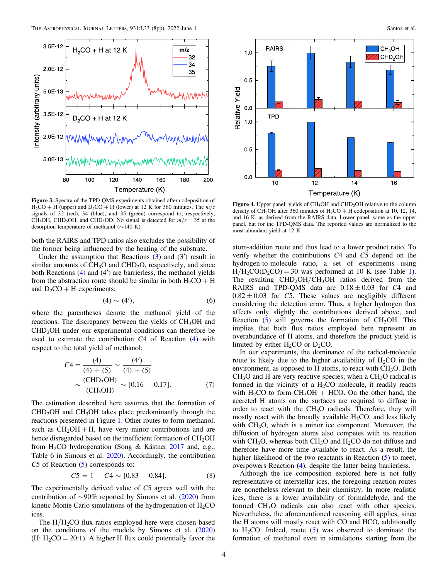<span id="page-3-0"></span>

Figure 3. Spectra of the TPD-QMS experiments obtained after codeposition of  $H_2CO + H$  (upper) and  $D_2CO + H$  (lower) at 12 K for 360 minutes. The  $m/z$ signals of 32 (red), 34 (blue), and 35 (green) correspond to, respectively, CH<sub>3</sub>OH, CHD<sub>2</sub>OH, and CHD<sub>2</sub>OD. No signal is detected for  $m/z = 35$  at the desorption temperature of methanol (∼140 K).

both the RAIRS and TPD ratios also excludes the possibility of the former being influenced by the heating of the substrate.

Under the assumption that Reactions  $(3)$  $(3)$  $(3)$  and  $(3')$  result in similar amounts of  $CH<sub>3</sub>O$  and  $CHD<sub>2</sub>O$ , respectively, and since both Reactions ([4](#page-0-0)) and (4′) are barrierless, the methanol yields from the abstraction route should be similar in both  $H_2CO + H$ and  $D_2CO + H$  experiments;

$$
(4) \sim (4'), \tag{6}
$$

where the parentheses denote the methanol yield of the reactions. The discrepancy between the yields of CH<sub>3</sub>OH and CHD2OH under our experimental conditions can therefore be used to estimate the contribution C4 of Reaction ([4](#page-0-0)) with respect to the total yield of methanol:

$$
C4 = \frac{(4)}{(4) + (5)} \sim \frac{(4')}{(4) + (5)}
$$

$$
\sim \frac{\text{(CHD}_2\text{OH})}{\text{(CH}_3\text{OH})} \sim [0.16 - 0.17]. \tag{7}
$$

The estimation described here assumes that the formation of  $CHD<sub>2</sub>OH$  and  $CH<sub>3</sub>OH$  takes place predominantly through the reactions presented in Figure [1](#page-2-0). Other routes to form methanol, such as  $CH<sub>2</sub>OH + H$ , have very minor contributions and are hence disregarded based on the inefficient formation of CH<sub>2</sub>OH from  $H_2CO$  hydrogenation (Song & Kästner [2017](#page-7-0) and, e.g., Table 6 in Simons et al. [2020](#page-7-0)). Accordingly, the contribution C[5](#page-0-0) of Reaction (5) corresponds to:

$$
C5 = 1 - C4 \sim [0.83 - 0.84]. \tag{8}
$$

The experimentally derived value of C5 agrees well with the contribution of ∼90% reported by Simons et al. ([2020](#page-7-0)) from kinetic Monte Carlo simulations of the hydrogenation of  $H_2CO$ ices.

The  $H/H<sub>2</sub>CO$  flux ratios employed here were chosen based on the conditions of the models by Simons et al. ([2020](#page-7-0)) (H:  $H_2CO = 20:1$ ). A higher H flux could potentially favor the



Figure 4. Upper panel: yields of CH<sub>3</sub>OH and CHD<sub>2</sub>OH relative to the column density of CH<sub>3</sub>OH after 360 minutes of H<sub>2</sub>CO + H codeposition at 10, 12, 14, and 16 K, as derived from the RAIRS data. Lower panel: same as the upper panel, but for the TPD-QMS data. The reported values are normalized to the most abundant yield at 12 K.

atom-addition route and thus lead to a lower product ratio. To verify whether the contributions C4 and C5 depend on the hydrogen-to-molecule ratio, a set of experiments using  $H/H_2CO(D_2CO) = 30$  was performed at [1](#page-6-0)0 K (see Table 1). The resulting  $CHD<sub>2</sub>OH/CH<sub>3</sub>OH$  ratios derived from the RAIRS and TPD-QMS data are  $0.18 \pm 0.03$  for C4 and  $0.82 \pm 0.03$  for C5. These values are negligibly different considering the detection error. Thus, a higher hydrogen flux affects only slightly the contributions derived above, and Reaction  $(5)$  $(5)$  $(5)$  still governs the formation of CH<sub>3</sub>OH. This implies that both flux ratios employed here represent an overabundance of H atoms, and therefore the product yield is limited by either  $H_2CO$  or  $D_2CO$ .

In our experiments, the dominance of the radical-molecule route is likely due to the higher availability of  $H_2CO$  in the environment, as opposed to H atoms, to react with CH<sub>3</sub>O. Both  $CH<sub>3</sub>O$  and H are very reactive species; when a  $CH<sub>3</sub>O$  radical is formed in the vicinity of a  $H_2CO$  molecule, it readily reacts with  $H_2CO$  to form  $CH_3OH + HCO$ . On the other hand, the accreted H atoms on the surfaces are required to diffuse in order to react with the  $CH<sub>3</sub>O$  radicals. Therefore, they will mostly react with the broadly available  $H_2CO$ , and less likely with  $CH<sub>3</sub>O$ , which is a minor ice component. Moreover, the diffusion of hydrogen atoms also competes with its reaction with  $CH<sub>3</sub>O$ , whereas both  $CH<sub>3</sub>O$  and  $H<sub>2</sub>CO$  do not diffuse and therefore have more time available to react. As a result, the higher likelihood of the two reactants in Reaction ([5](#page-0-0)) to meet, overpowers Reaction ([4](#page-0-0)), despite the latter being barrierless.

Although the ice composition explored here is not fully representative of interstellar ices, the foregoing reaction routes are nonetheless relevant to their chemistry. In more realistic ices, there is a lower availability of formaldehyde, and the formed CH<sub>3</sub>O radicals can also react with other species. Nevertheless, the aforementioned reasoning still applies, since the H atoms will mostly react with CO and HCO, additionally to  $H_2CO$ . Indeed, route ([5](#page-0-0)) was observed to dominate the formation of methanol even in simulations starting from the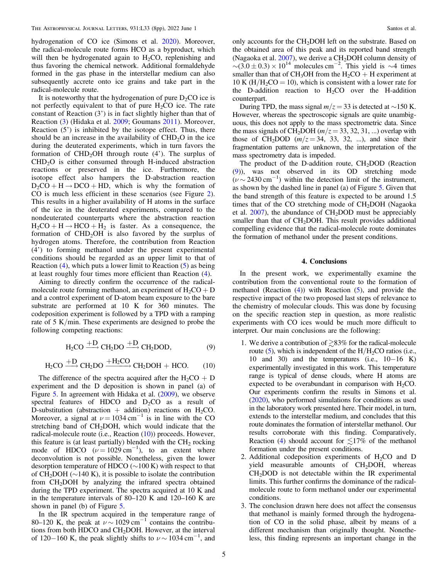hydrogenation of CO ice (Simons et al. [2020](#page-7-0)). Moreover, the radical-molecule route forms HCO as a byproduct, which will then be hydrogenated again to  $H<sub>2</sub>CO$ , replenishing and thus favoring the chemical network. Additional formaldehyde formed in the gas phase in the interstellar medium can also subsequently accrete onto ice grains and take part in the radical-molecule route.

It is noteworthy that the hydrogenation of pure  $D_2CO$  ice is not perfectly equivalent to that of pure  $H_2CO$  ice. The rate constant of Reaction (3') is in fact slightly higher than that of Reaction ([3](#page-0-0)) (Hidaka et al. [2009](#page-7-0); Goumans [2011](#page-7-0)). Moreover, Reaction (5') is inhibited by the isotope effect. Thus, there should be an increase in the availability of  $CHD<sub>2</sub>O$  in the ice during the deuterated experiments, which in turn favors the formation of  $CHD<sub>2</sub>OH$  through route (4'). The surplus of  $CHD<sub>2</sub>O$  is either consumed through H-induced abstraction reactions or preserved in the ice. Furthermore, the isotope effect also hampers the D-abstraction reaction  $D_2CO + H \rightarrow DCO + HD$ , which is why the formation of CO is much less efficient in these scenarios (see Figure [2](#page-2-0)). This results in a higher availability of H atoms in the surface of the ice in the deuterated experiments, compared to the nondeuterated counterparts where the abstraction reaction  $H_2CO + H \rightarrow HCO + H_2$  is faster. As a consequence, the formation of  $CHD<sub>2</sub>OH$  is also favored by the surplus of hydrogen atoms. Therefore, the contribution from Reaction (4') to forming methanol under the present experimental conditions should be regarded as an upper limit to that of Reaction  $(4)$  $(4)$  $(4)$ , which puts a lower limit to Reaction  $(5)$  $(5)$  $(5)$  as being at least roughly four times more efficient than Reaction ([4](#page-0-0)).

Aiming to directly confirm the occurrence of the radicalmolecule route forming methanol, an experiment of  $H_2CO + D$ and a control experiment of D-atom beam exposure to the bare substrate are performed at 10 K for 360 minutes. The codeposition experiment is followed by a TPD with a ramping rate of 5 K/min. These experiments are designed to probe the following competing reactions:

$$
H_2CO \xrightarrow{+D} CH_2DO \xrightarrow{+D} CH_2DOD,
$$
 (9)

$$
H_2CO \xrightarrow{+D} CH_2DO \xrightarrow{+H_2CO} CH_2DOH + HCO.
$$
 (10)

The difference of the spectra acquired after the  $H_2CO + D$ experiment and the D deposition is shown in panel (a) of Figure [5](#page-5-0). In agreement with Hidaka et al. ([2009](#page-7-0)), we observe spectral features of HDCO and  $D_2CO$  as a result of D-substitution (abstraction + addition) reactions on  $H_2CO$ . Moreover, a signal at  $\nu = 1034 \text{ cm}^{-1}$  is in line with the CO stretching band of CH<sub>2</sub>DOH, which would indicate that the radical-molecule route (i.e., Reaction (10)) proceeds. However, this feature is (at least partially) blended with the  $CH<sub>2</sub>$  rocking mode of HDCO  $(\nu = 1029 \text{ cm}^{-1})$ , to an extent where deconvolution is not possible. Nonetheless, given the lower desorption temperature of HDCO (∼100 K) with respect to that of CH<sub>2</sub>DOH ( $\sim$ 140 K), it is possible to isolate the contribution from CH<sub>2</sub>DOH by analyzing the infrared spectra obtained during the TPD experiment. The spectra acquired at 10 K and in the temperature intervals of 80–120 K and 120–160 K are shown in panel (b) of Figure [5](#page-5-0).

In the IR spectrum acquired in the temperature range of 80–120 K, the peak at  $\nu \sim 1029$  cm<sup>-1</sup> contains the contributions from both HDCO and CH2DOH. However, at the interval of 120–160 K, the peak slightly shifts to  $\nu \sim 1034 \text{ cm}^{-1}$ , and

only accounts for the CH<sub>2</sub>DOH left on the substrate. Based on the obtained area of this peak and its reported band strength (Nagaoka et al.  $2007$ ), we derive a CH<sub>2</sub>DOH column density of  $\sim$ (3.0 ± 0.3) × 10<sup>14</sup> molecules cm<sup>-2</sup>. This yield is ~4 times smaller than that of  $CH_3OH$  from the  $H_2CO + H$  experiment at 10 K ( $H/H_2CO = 10$ ), which is consistent with a lower rate for the D-addition reaction to  $H_2CO$  over the H-addition counterpart.

During TPD, the mass signal  $m/z = 33$  is detected at ∼150 K. However, whereas the spectroscopic signals are quite unambiguous, this does not apply to the mass spectrometric data. Since the mass signals of CH<sub>2</sub>DOH ( $m/z = 33, 32, 31, ...$ ) overlap with those of CH<sub>2</sub>DOD ( $m/z = 34$ , 33, 32, ...), and since their fragmentation patterns are unknown, the interpretation of the mass spectrometry data is impeded.

The product of the D-addition route,  $CH<sub>2</sub>DOD$  (Reaction (9)), was not observed in its OD stretching mode  $(\nu \sim 2430 \text{ cm}^{-1})$  within the detection limit of the instrument, as shown by the dashed line in panel (a) of Figure [5.](#page-5-0) Given that the band strength of this feature is expected to be around 1.5 times that of the CO stretching mode of  $CH<sub>2</sub>DOH$  (Nagaoka et al.  $2007$ ), the abundance of  $CH<sub>2</sub>DOD$  must be appreciably smaller than that of CH<sub>2</sub>DOH. This result provides additional compelling evidence that the radical-molecule route dominates the formation of methanol under the present conditions.

# 4. Conclusions

In the present work, we experimentally examine the contribution from the conventional route to the formation of methanol (Reaction  $(4)$  $(4)$  $(4)$ ) with Reaction  $(5)$  $(5)$  $(5)$ , and provide the respective impact of the two proposed last steps of relevance to the chemistry of molecular clouds. This was done by focusing on the specific reaction step in question, as more realistic experiments with CO ices would be much more difficult to interpret. Our main conclusions are the following:

- 1. We derive a contribution of  $\geq 83\%$  for the radical-molecule route  $(5)$  $(5)$  $(5)$ , which is independent of the  $H/H<sub>2</sub>CO$  ratios (i.e., 10 and 30) and the temperatures (i.e., 10−16 K) experimentally investigated in this work. This temperature range is typical of dense clouds, where H atoms are expected to be overabundant in comparison with  $H_2CO$ . Our experiments confirm the results in Simons et al. ([2020](#page-7-0)), who performed simulations for conditions as used in the laboratory work presented here. Their model, in turn, extends to the interstellar medium, and concludes that this route dominates the formation of interstellar methanol. Our results corroborate with this finding. Comparatively, Reaction ([4](#page-0-0)) should account for  $\leq 17\%$  of the methanol formation under the present conditions.
- 2. Additional codeposition experiments of  $H_2CO$  and D yield measurable amounts of  $CH<sub>2</sub>DOH$ , whereas  $CH<sub>2</sub>DOD$  is not detectable within the IR experimental limits. This further confirms the dominance of the radicalmolecule route to form methanol under our experimental conditions.
- 3. The conclusion drawn here does not affect the consensus that methanol is mainly formed through the hydrogenation of CO in the solid phase, albeit by means of a different mechanism than originally thought. Nonetheless, this finding represents an important change in the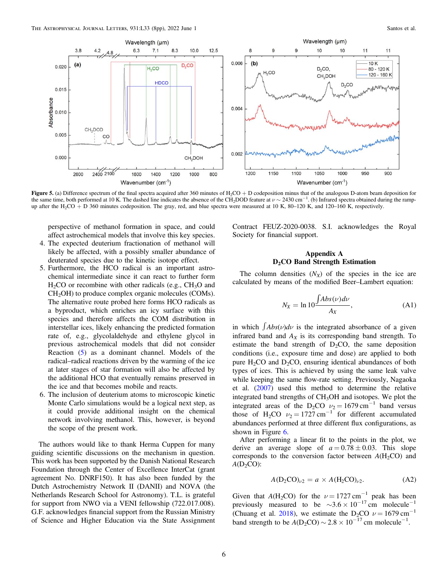<span id="page-5-0"></span>

Figure 5. (a) Difference spectrum of the final spectra acquired after 360 minutes of  $H_2CO + D$  codeposition minus that of the analogous D-atom beam deposition for the same time, both performed at 10 K. The dashed line indicates the absence of the CH<sub>2</sub>DOD feature at  $\nu \sim 2430$  cm<sup>-1</sup>. (b) Infrared spectra obtained during the rampup after the H<sub>2</sub>CO + D 360 minutes codeposition. The gray, red, and blue spectra were measured at 10 K, 80–120 K, and 120–160 K, respectively.

perspective of methanol formation in space, and could affect astrochemical models that involve this key species.

- 4. The expected deuterium fractionation of methanol will likely be affected, with a possibly smaller abundance of deuterated species due to the kinetic isotope effect.
- 5. Furthermore, the HCO radical is an important astrochemical intermediate since it can react to further form  $H<sub>2</sub>CO$  or recombine with other radicals (e.g.,  $CH<sub>3</sub>O$  and CH<sub>2</sub>OH) to produce complex organic molecules (COMs). The alternative route probed here forms HCO radicals as a byproduct, which enriches an icy surface with this species and therefore affects the COM distribution in interstellar ices, likely enhancing the predicted formation rate of, e.g., glycolaldehyde and ethylene glycol in previous astrochemical models that did not consider Reaction ([5](#page-0-0)) as a dominant channel. Models of the radical–radical reactions driven by the warming of the ice at later stages of star formation will also be affected by the additional HCO that eventually remains preserved in the ice and that becomes mobile and reacts.
- 6. The inclusion of deuterium atoms to microscopic kinetic Monte Carlo simulations would be a logical next step, as it could provide additional insight on the chemical network involving methanol. This, however, is beyond the scope of the present work.

The authors would like to thank Herma Cuppen for many guiding scientific discussions on the mechanism in question. This work has been supported by the Danish National Research Foundation through the Center of Excellence InterCat (grant agreement No. DNRF150). It has also been funded by the Dutch Astrochemistry Network II (DANII) and NOVA (the Netherlands Research School for Astronomy). T.L. is grateful for support from NWO via a VENI fellowship (722.017.008). G.F. acknowledges financial support from the Russian Ministry of Science and Higher Education via the State Assignment Contract FEUZ-2020-0038. S.I. acknowledges the Royal Society for financial support.

# Appendix A D<sub>2</sub>CO Band Strength Estimation

The column densities  $(N_X)$  of the species in the ice are calculated by means of the modified Beer–Lambert equation:

$$
N_X = \ln 10 \frac{\int Abs(\nu) d\nu}{A_X},
$$
\n(A1)

in which  $\int$ *Abs*( $\nu$ ) $d\nu$  is the integrated absorbance of a given infrared band and  $A_X$  is its corresponding band strength. To estimate the band strength of  $D_2CO$ , the same deposition conditions (i.e., exposure time and dose) are applied to both pure  $H_2CO$  and  $D_2CO$ , ensuring identical abundances of both types of ices. This is achieved by using the same leak valve while keeping the same flow-rate setting. Previously, Nagaoka et al. ([2007](#page-7-0)) used this method to determine the relative integrated band strengths of  $CH<sub>3</sub>OH$  and isotopes. We plot the integrated areas of the D<sub>2</sub>CO  $v_2 = 1679 \text{ cm}^{-1}$  band versus those of H<sub>2</sub>CO  $v_2 = 1727 \text{ cm}^{-1}$  for different accumulated abundances performed at three different flux configurations, as shown in Figure [6](#page-6-0).

After performing a linear fit to the points in the plot, we derive an average slope of  $a = 0.78 \pm 0.03$ . This slope corresponds to the conversion factor between  $A(H_2CO)$  and  $A(D_2CO)$ :

$$
A(D_2CO)_{\nu2} = a \times A(H_2CO)_{\nu2}.
$$
 (A2)

Given that  $A(H_2CO)$  for the  $\nu = 1727 \text{ cm}^{-1}$  peak has been previously measured to be  $\sim$ 3.6 × 10<sup>-17</sup> cm molecule<sup>-1</sup> (Chuang et al. [2018](#page-7-0)), we estimate the D<sub>2</sub>CO  $\nu = 1679 \text{ cm}^{-1}$ band strength to be  $A(D_2CO) \sim 2.8 \times 10^{-17}$  cm molecule<sup>-1</sup>.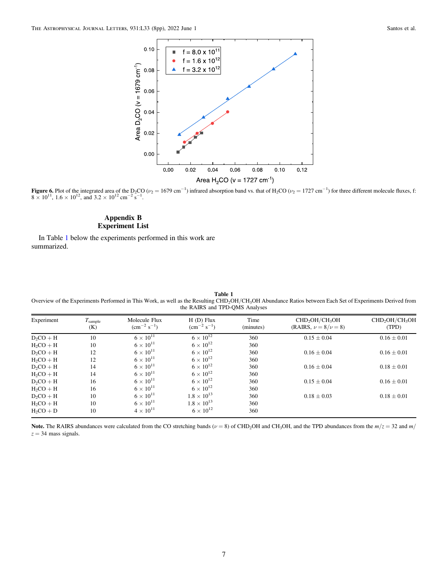<span id="page-6-0"></span>

Figure 6. Plot of the integrated area of the D<sub>2</sub>CO ( $v_2 = 1679 \text{ cm}^{-1}$ ) infrared absorption band vs. that of H<sub>2</sub>CO ( $v_2 = 1727 \text{ cm}^{-1}$ ) for three different molecule fluxes, f:  $8 \times 10^{11}$ ,  $1.6 \times 10^{12}$ , and  $3.2 \times 10^{12}$  cm<sup>-2</sup> s<sup>-1</sup>.

# Appendix B Experiment List

In Table 1 below the experiments performed in this work are summarized.

Table 1 Overview of the Experiments Performed in This Work, as well as the Resulting CHD2OH/CH3OH Abundance Ratios between Each Set of Experiments Derived from the RAIRS and TPD-QMS Analyses

| Experiment  | $T_{\text{sample}}$<br>(K) | Molecule Flux<br>$\rm \ (cm^{-2} \ s^{-1})$ | $H(D)$ Flux<br>$\rm (cm^{-2} \; s^{-1})$ | Time<br>(minutes) | CHD <sub>2</sub> OH/CH <sub>3</sub> OH<br>(RAIRS, $\nu = 8/\nu = 8$ ) | CHD <sub>2</sub> OH/CH <sub>3</sub> OH<br>(TPD) |
|-------------|----------------------------|---------------------------------------------|------------------------------------------|-------------------|-----------------------------------------------------------------------|-------------------------------------------------|
| $D_2CO + H$ | 10                         | $6 \times 10^{11}$                          | $6 \times 10^{12}$                       | 360               | $0.15 \pm 0.04$                                                       | $0.16 \pm 0.01$                                 |
| $H_2CO + H$ | 10                         | $6 \times 10^{11}$                          | $6 \times 10^{12}$                       | 360               |                                                                       |                                                 |
| $D_2CO + H$ | 12                         | $6 \times 10^{11}$                          | $6 \times 10^{12}$                       | 360               | $0.16 \pm 0.04$                                                       | $0.16 \pm 0.01$                                 |
| $H2CO + H$  | 12                         | $6 \times 10^{11}$                          | $6 \times 10^{12}$                       | 360               |                                                                       |                                                 |
| $D_2CO + H$ | 14                         | $6 \times 10^{11}$                          | $6 \times 10^{12}$                       | 360               | $0.16 \pm 0.04$                                                       | $0.18 \pm 0.01$                                 |
| $H2CO + H$  | 14                         | $6 \times 10^{11}$                          | $6 \times 10^{12}$                       | 360               |                                                                       |                                                 |
| $D_2CO + H$ | 16                         | $6 \times 10^{11}$                          | $6 \times 10^{12}$                       | 360               | $0.15 \pm 0.04$                                                       | $0.16 \pm 0.01$                                 |
| $H_2CO + H$ | 16                         | $6 \times 10^{11}$                          | $6 \times 10^{12}$                       | 360               |                                                                       |                                                 |
| $D_2CO + H$ | 10                         | $6 \times 10^{11}$                          | $1.8 \times 10^{13}$                     | 360               | $0.18 \pm 0.03$                                                       | $0.18 \pm 0.01$                                 |
| $H_2CO + H$ | 10                         | $6 \times 10^{11}$                          | $1.8 \times 10^{13}$                     | 360               |                                                                       |                                                 |
| $H2CO + D$  | 10                         | $4 \times 10^{11}$                          | $6 \times 10^{12}$                       | 360               |                                                                       |                                                 |

Note. The RAIRS abundances were calculated from the CO stretching bands ( $\nu = 8$ ) of CHD<sub>2</sub>OH and CH<sub>3</sub>OH, and the TPD abundances from the  $m/z = 32$  and  $m/z$  $z = 34$  mass signals.